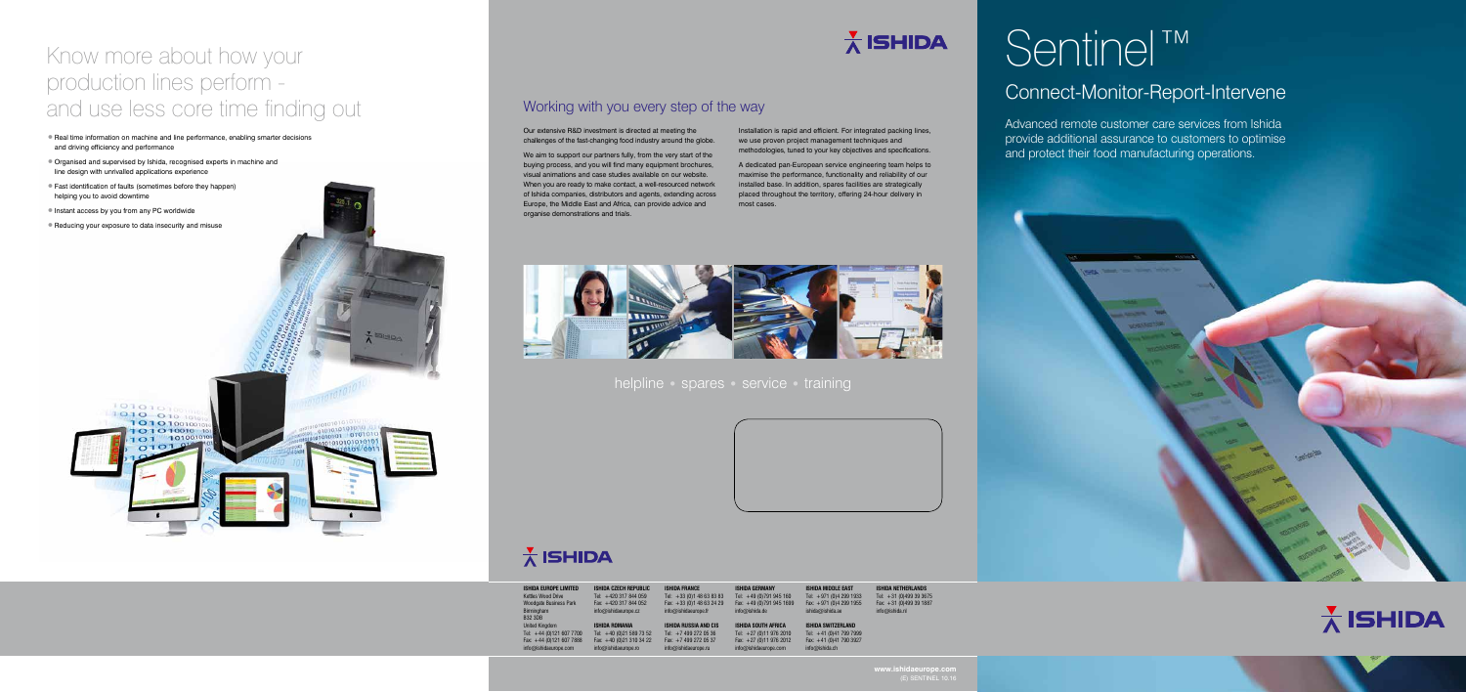# Sentinel™

## Connect-Monitor-Report-Intervene

Advanced remote customer care services from Ishida provide additional assurance to customers to optimise and protect their food manufacturing operations.

## Working with you every step of the way

helpline • spares • service • training

Our extensive R&D investment is directed at meeting the challenges of the fast-changing food industry around the globe.

We aim to support our partners fully, from the very start of the buying process, and you will find many equipment brochures, visual animations and case studies available on our website. When you are ready to make contact, a well-resourced network of Ishida companies, distributors and agents, extending across Europe, the Middle East and Africa, can provide advice and organise demonstrations and trials.



## $\frac{1}{\Lambda}$  ISHIDA

Installation is rapid and efficient. For integrated packing lines, we use proven project management techniques and methodologies, tuned to your key objectives and specifications.

A dedicated pan-European service engineering team helps to maximise the performance, functionality and reliability of our installed base. In addition, spares facilities are strategically placed throughout the territory, offering 24-hour delivery in most cases.

**ISHIDA SOUTH AFRICA** Tel: +27 (0)11 976 2010 Fax:  $+27(0)119762012$  $n\varpi$ ishidaeurope.com **ISHIDA SWITZERLAND** Tel: +41 (0)41 799 7999 Fax: +41 (0)41 790 3927

**www.ishidaeurope.com**



## Know more about how your production lines perform and use less core time finding out

**ISHIDA NETHERLANDS** Tel: +31 (0)499 39 3675 Fax: +31 (0)499 39 1887  $inf<sub>0</sub>$  $wide<sub>0</sub>$ ishida n

- •Real time information on machine and line performance, enabling smarter decisions and driving efficiency and performance
- •Organised and supervised by Ishida, recognised experts in machine and line design with unrivalled applications experience
- •Fast identification of faults (sometimes before they happen) helping you to avoid downtime
- •Instant access by you from any PC worldwide
- •Reducing your exposure to data insecurity and misuse



| <b>ISHIDA EUROPE LIMITED</b><br><b>Kettles Wood Drive</b><br><b>Woodgate Business Park</b><br>Birmingham<br><b>B32 3DB</b> | <b>ISHIDA CZECH REPUBLIC</b><br>Tel: +420 317 844 059<br>Fax: +420 317 844 052<br>info@ishidaeurope.cz | <b>ISHIDA FRANCE</b><br>Tel: $+33$ (0)1 48 63 83 83<br>Fax: +33 (0) 1 48 63 24 29<br>info@ishidaeurope.fr |
|----------------------------------------------------------------------------------------------------------------------------|--------------------------------------------------------------------------------------------------------|-----------------------------------------------------------------------------------------------------------|
| <b>United Kingdom</b>                                                                                                      | <b>ISHIDA ROMANIA</b>                                                                                  | <b>ISHIDA RUSSIA AND CIS</b>                                                                              |
| Tel: +44 (0)121 607 7700                                                                                                   | Tel: $+40$ (0)21 589 73 52                                                                             | Tel: $+7$ 499 272 05 36                                                                                   |
| Fax: $+44$ (0)121 607 7888                                                                                                 | Fax: +40 (0)21 310 34 22                                                                               | Fax: $+7$ 499 272 05 37                                                                                   |
| info@ishidaeurope.com                                                                                                      | info@ishidaeurope.ro                                                                                   | info@ishidaeurope.ru                                                                                      |

## $\frac{1}{\Lambda}$  ISHIDA

info@ishida.de

**ISHIDA GERMANY** Tel: +49 (0)791 945 160 Fax:  $+49(0)7919451699$ **ISHIDA MIDDLE EAST** Tel: +971 (0)4 299 1933 Fax: +971 (0)4 299 1955

ishida@ishida.ae

info@ishida.ch